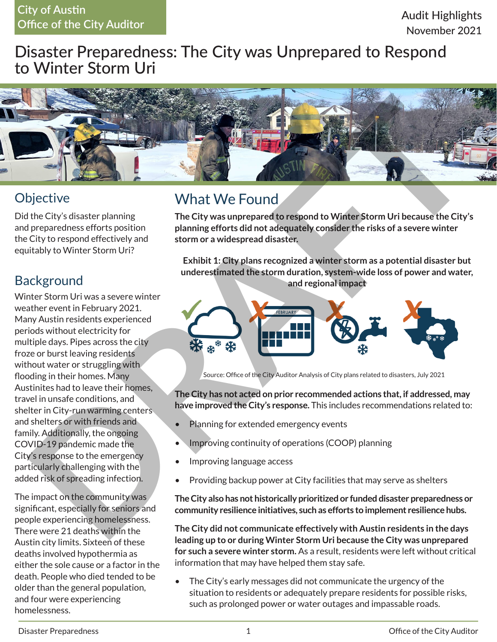#### **City of Austin Office of the City Auditor**

## Disaster Preparedness: The City was Unprepared to Respond to Winter Storm Uri



### **Objective**

Did the City's disaster planning and preparedness efforts position the City to respond effectively and equitably to Winter Storm Uri?

### **Background**

Winter Storm Uri was a severe winter weather event in February 2021. Many Austin residents experienced periods without electricity for multiple days. Pipes across the city froze or burst leaving residents without water or struggling with flooding in their homes. Many Austinites had to leave their homes, travel in unsafe conditions, and shelter in City-run warming centers and shelters or with friends and family. Additionally, the ongoing COVID-19 pandemic made the City's response to the emergency particularly challenging with the added risk of spreading infection.

The impact on the community was significant, especially for seniors and people experiencing homelessness. There were 21 deaths within the Austin city limits. Sixteen of these deaths involved hypothermia as either the sole cause or a factor in the death. People who died tended to be older than the general population, and four were experiencing homelessness.

# What We Found

**The City was unprepared to respond to Winter Storm Uri because the City's planning efforts did not adequately consider the risks of a severe winter storm or a widespread disaster.**

**Exhibit 1: City plans recognized a winter storm as a potential disaster but underestimated the storm duration, system-wide loss of power and water, and regional impact**



Source: Office of the City Auditor Analysis of City plans related to disasters, July 2021

**The City has not acted on prior recommended actions that, if addressed, may have improved the City's response.** This includes recommendations related to:

- Planning for extended emergency events
- Improving continuity of operations (COOP) planning
- Improving language access
- Providing backup power at City facilities that may serve as shelters

**The City also has not historically prioritized or funded disaster preparedness or community resilience initiatives, such as efforts to implement resilience hubs.**

**The City did not communicate effectively with Austin residents in the days leading up to or during Winter Storm Uri because the City was unprepared for such a severe winter storm.** As a result, residents were left without critical information that may have helped them stay safe.

• The City's early messages did not communicate the urgency of the situation to residents or adequately prepare residents for possible risks, such as prolonged power or water outages and impassable roads.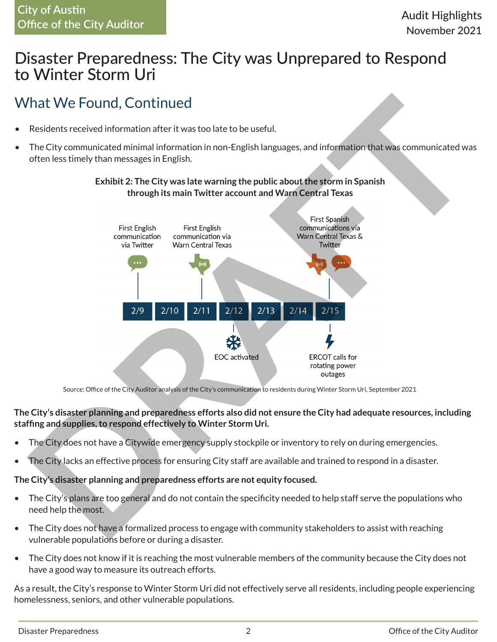#### **City of Austin Office of the City Auditor**

### Disaster Preparedness: The City was Unprepared to Respond to Winter Storm Uri

# What We Found, Continued

- Residents received information after it was too late to be useful.
- The City communicated minimal information in non-English languages, and information that was communicated was often less timely than messages in English.



#### **Exhibit 2: The City was late warning the public about the storm in Spanish through its main Twitter account and Warn Central Texas**

Source: Office of the City Auditor analysis of the City's communication to residents during Winter Storm Uri, September 2021

#### **The City's disaster planning and preparedness efforts also did not ensure the City had adequate resources, including staffing and supplies, to respond effectively to Winter Storm Uri.**

- The City does not have a Citywide emergency supply stockpile or inventory to rely on during emergencies.
- The City lacks an effective process for ensuring City staff are available and trained to respond in a disaster.

#### **The City's disaster planning and preparedness efforts are not equity focused.**

- The City's plans are too general and do not contain the specificity needed to help staff serve the populations who need help the most.
- The City does not have a formalized process to engage with community stakeholders to assist with reaching vulnerable populations before or during a disaster.
- The City does not know if it is reaching the most vulnerable members of the community because the City does not have a good way to measure its outreach efforts.

As a result, the City's response to Winter Storm Uri did not effectively serve all residents, including people experiencing homelessness, seniors, and other vulnerable populations.